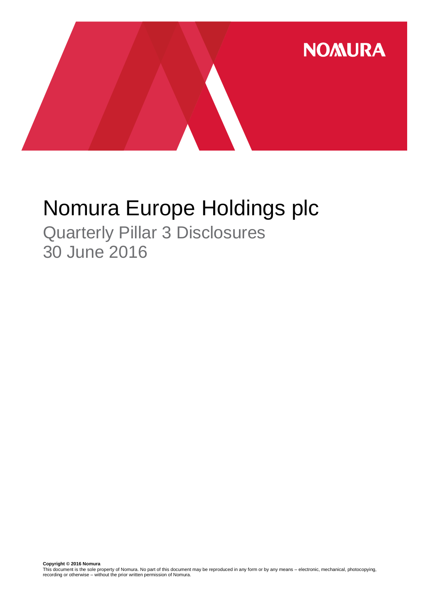

# Nomura Europe Holdings plc

Quarterly Pillar 3 Disclosures 30 June 2016

**Copyright © 2016 Nomura**<br>This document is the sole property of Nomura. No part of this document may be reproduced in any form or by any means – electronic, mechanical, photocopying,<br>recording or otherwise – without the pr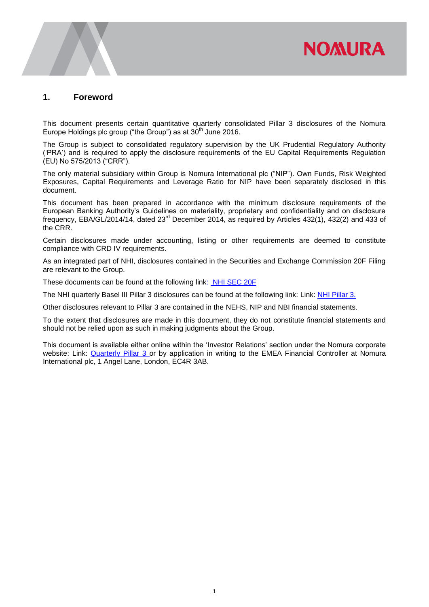# **NOMURA**

### **1. Foreword**

This document presents certain quantitative quarterly consolidated Pillar 3 disclosures of the Nomura Europe Holdings plc group ("the Group") as at 30<sup>th</sup> June 2016.

The Group is subject to consolidated regulatory supervision by the UK Prudential Regulatory Authority ('PRA') and is required to apply the disclosure requirements of the EU Capital Requirements Regulation (EU) No 575/2013 ("CRR").

The only material subsidiary within Group is Nomura International plc ("NIP"). Own Funds, Risk Weighted Exposures, Capital Requirements and Leverage Ratio for NIP have been separately disclosed in this document.

This document has been prepared in accordance with the minimum disclosure requirements of the European Banking Authority's Guidelines on materiality, proprietary and confidentiality and on disclosure frequency, EBA/GL/2014/14, dated 23rd December 2014, as required by Articles 432(1), 432(2) and 433 of the CRR.

Certain disclosures made under accounting, listing or other requirements are deemed to constitute compliance with CRD IV requirements.

As an integrated part of NHI, disclosures contained in the Securities and Exchange Commission 20F Filing are relevant to the Group.

These documents can be found at the following link: [NHI SEC 20F](http://www.nomuraholdings.com/investor/library/sec/index.html)

The NHI quarterly Basel III Pillar 3 disclosures can be found at the following link: Link: [NHI Pillar 3.](http://www.nomuraholdings.com/investor/summary/highlight/ratio.html)

Other disclosures relevant to Pillar 3 are contained in the NEHS, NIP and NBI financial statements.

To the extent that disclosures are made in this document, they do not constitute financial statements and should not be relied upon as such in making judgments about the Group.

This document is available either online within the 'Investor Relations' section under the Nomura corporate website: Link: [Quarterly Pillar 3](https://www.nomuranow.com/portal/site/nnextranet/en/regulatory-disclosures/) or by application in writing to the EMEA Financial Controller at Nomura International plc, 1 Angel Lane, London, EC4R 3AB.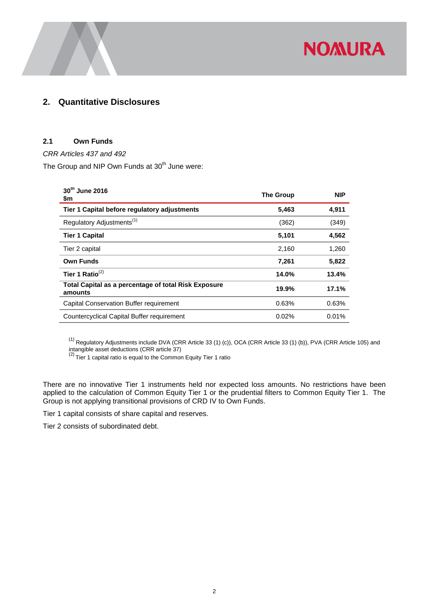

## **2. Quantitative Disclosures**

#### **2.1 Own Funds**

*CRR Articles 437 and 492* 

The Group and NIP Own Funds at 30<sup>th</sup> June were:

| 30th June 2016<br>\$m                                           | <b>The Group</b> | <b>NIP</b> |
|-----------------------------------------------------------------|------------------|------------|
| Tier 1 Capital before regulatory adjustments                    | 5,463            | 4,911      |
| Regulatory Adjustments <sup>(1)</sup>                           | (362)            | (349)      |
| <b>Tier 1 Capital</b>                                           | 5,101            | 4,562      |
| Tier 2 capital                                                  | 2,160            | 1,260      |
| <b>Own Funds</b>                                                | 7,261            | 5,822      |
| Tier 1 Ratio $^{(2)}$                                           | 14.0%            | 13.4%      |
| Total Capital as a percentage of total Risk Exposure<br>amounts | 19.9%            | 17.1%      |
| Capital Conservation Buffer requirement                         | 0.63%            | 0.63%      |
| Countercyclical Capital Buffer requirement                      | 0.02%            | 0.01%      |

 $^{(1)}$  Regulatory Adjustments include DVA (CRR Article 33 (1) (c)), OCA (CRR Article 33 (1) (b)), PVA (CRR Article 105) and

intangible asset deductions (CRR article 37)<br><sup>(2)</sup> Tier 1 capital ratio is equal to the Common Equity Tier 1 ratio

There are no innovative Tier 1 instruments held nor expected loss amounts. No restrictions have been applied to the calculation of Common Equity Tier 1 or the prudential filters to Common Equity Tier 1. The Group is not applying transitional provisions of CRD IV to Own Funds.

Tier 1 capital consists of share capital and reserves.

Tier 2 consists of subordinated debt.